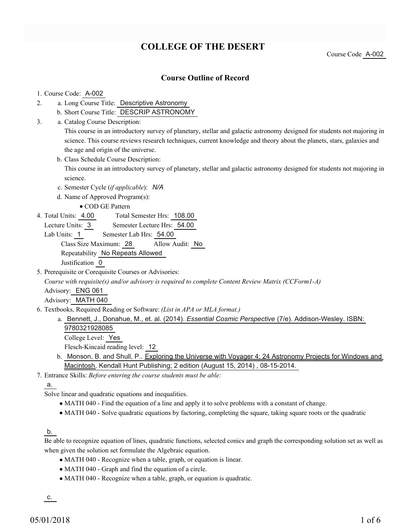# **COLLEGE OF THE DESERT**

Course Code A-002

## **Course Outline of Record**

#### 1. Course Code: A-002

- a. Long Course Title: Descriptive Astronomy 2.
	- b. Short Course Title: DESCRIP ASTRONOMY
- Catalog Course Description: a. 3.

This course in an introductory survey of planetary, stellar and galactic astronomy designed for students not majoring in science. This course reviews research techniques, current knowledge and theory about the planets, stars, galaxies and the age and origin of the universe.

b. Class Schedule Course Description:

This course in an introductory survey of planetary, stellar and galactic astronomy designed for students not majoring in science.

c. Semester Cycle (*if applicable*): *N/A*

d. Name of Approved Program(s):

COD GE Pattern

- Total Semester Hrs: 108.00 4. Total Units: 4.00
	- Lecture Units: 3 Semester Lecture Hrs: 54.00

Lab Units: 1 Semester Lab Hrs: 54.00 Class Size Maximum: 28 Allow Audit: No Repeatability No Repeats Allowed Justification 0

5. Prerequisite or Corequisite Courses or Advisories:

*Course with requisite(s) and/or advisory is required to complete Content Review Matrix (CCForm1-A)*

Advisory: ENG 061

Advisory: MATH 040

- Textbooks, Required Reading or Software: *(List in APA or MLA format.)* 6.
	- a. Bennett, J., Donahue, M., et. al. (2014). *Essential Cosmic Perspective* (7/e). Addison-Wesley. ISBN: 9780321928085

College Level: Yes

Flesch-Kincaid reading level: 12

- b. Monson, B. and Shull, P.. Exploring the Universe with Voyager 4: 24 Astronomy Projects for Windows and Macintosh. Kendall Hunt Publishing; 2 edition (August 15, 2014) , 08-15-2014.
- Entrance Skills: *Before entering the course students must be able:* 7.

## a.

Solve linear and quadratic equations and inequalities.

- MATH 040 Find the equation of a line and apply it to solve problems with a constant of change.
- MATH 040 Solve quadratic equations by factoring, completing the square, taking square roots or the quadratic

## b.

Be able to recognize equation of lines, quadratic functions, selected conics and graph the corresponding solution set as well as when given the solution set formulate the Algebraic equation.

- MATH 040 Recognize when a table, graph, or equation is linear.
- MATH 040 Graph and find the equation of a circle.
- MATH 040 Recognize when a table, graph, or equation is quadratic.

c.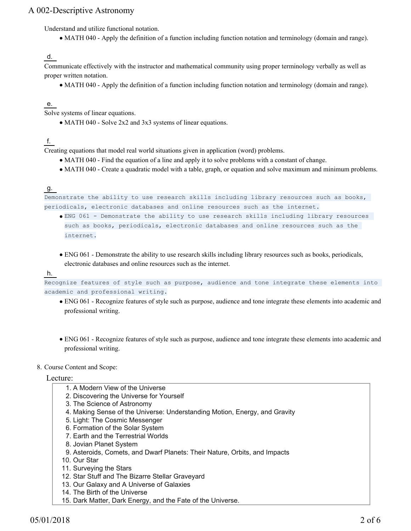Understand and utilize functional notation.

MATH 040 - Apply the definition of a function including function notation and terminology (domain and range).

#### d.

Communicate effectively with the instructor and mathematical community using proper terminology verbally as well as proper written notation.

MATH 040 - Apply the definition of a function including function notation and terminology (domain and range).

## e.

Solve systems of linear equations.

• MATH 040 - Solve 2x2 and 3x3 systems of linear equations.

## f.

Creating equations that model real world situations given in application (word) problems.

- MATH 040 Find the equation of a line and apply it to solve problems with a constant of change.
- MATH 040 Create a quadratic model with a table, graph, or equation and solve maximum and minimum problems.

## g.

```
Demonstrate the ability to use research skills including library resources such as books,
periodicals, electronic databases and online resources such as the internet.
```
- ENG 061 Demonstrate the ability to use research skills including library resources such as books, periodicals, electronic databases and online resources such as the internet.
- ENG 061 Demonstrate the ability to use research skills including library resources such as books, periodicals, electronic databases and online resources such as the internet.

#### h.

Recognize features of style such as purpose, audience and tone integrate these elements into academic and professional writing.

- ENG 061 Recognize features of style such as purpose, audience and tone integrate these elements into academic and professional writing.
- ENG 061 Recognize features of style such as purpose, audience and tone integrate these elements into academic and professional writing.

## 8. Course Content and Scope:

## Lecture:

- 1. A Modern View of the Universe
- 2. Discovering the Universe for Yourself
- 3. The Science of Astronomy
- 4. Making Sense of the Universe: Understanding Motion, Energy, and Gravity
- 5. Light: The Cosmic Messenger
- 6. Formation of the Solar System
- 7. Earth and the Terrestrial Worlds
- 8. Jovian Planet System
- 9. Asteroids, Comets, and Dwarf Planets: Their Nature, Orbits, and Impacts
- 10. Our Star
- 11. Surveying the Stars
- 12. Star Stuff and The Bizarre Stellar Graveyard
- 13. Our Galaxy and A Universe of Galaxies
- 14. The Birth of the Universe
- 15. Dark Matter, Dark Energy, and the Fate of the Universe.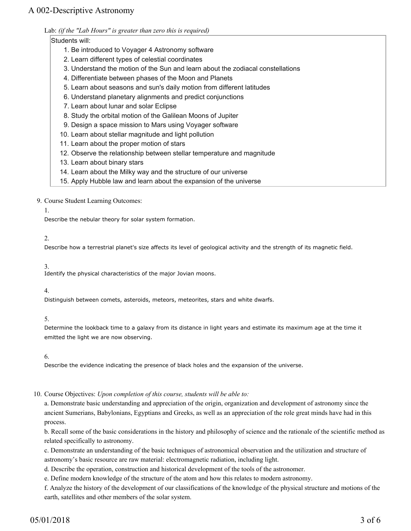Lab: *(if the "Lab Hours" is greater than zero this is required)*

## Students will:

- 1. Be introduced to Voyager 4 Astronomy software
- 2. Learn different types of celestial coordinates
- 3. Understand the motion of the Sun and learn about the zodiacal constellations
- 4. Differentiate between phases of the Moon and Planets
- 5. Learn about seasons and sun's daily motion from different latitudes
- 6. Understand planetary alignments and predict conjunctions
- 7. Learn about lunar and solar Eclipse
- 8. Study the orbital motion of the Galilean Moons of Jupiter
- 9. Design a space mission to Mars using Voyager software
- 10. Learn about stellar magnitude and light pollution
- 11. Learn about the proper motion of stars
- 12. Observe the relationship between stellar temperature and magnitude
- 13. Learn about binary stars
- 14. Learn about the Milky way and the structure of our universe
- 15. Apply Hubble law and learn about the expansion of the universe

9. Course Student Learning Outcomes:

1.

Describe the nebular theory for solar system formation.

#### 2.

Describe how a terrestrial planet's size affects its level of geological activity and the strength of its magnetic field.

3.

Identify the physical characteristics of the major Jovian moons.

#### 4.

Distinguish between comets, asteroids, meteors, meteorites, stars and white dwarfs.

#### 5.

Determine the lookback time to a galaxy from its distance in light years and estimate its maximum age at the time it emitted the light we are now observing.

6.

Describe the evidence indicating the presence of black holes and the expansion of the universe.

#### 10. Course Objectives: Upon completion of this course, students will be able to:

a. Demonstrate basic understanding and appreciation of the origin, organization and development of astronomy since the ancient Sumerians, Babylonians, Egyptians and Greeks, as well as an appreciation of the role great minds have had in this process.

b. Recall some of the basic considerations in the history and philosophy of science and the rationale of the scientific method as related specifically to astronomy.

c. Demonstrate an understanding of the basic techniques of astronomical observation and the utilization and structure of astronomy's basic resource are raw material: electromagnetic radiation, including light.

d. Describe the operation, construction and historical development of the tools of the astronomer.

e. Define modern knowledge of the structure of the atom and how this relates to modern astronomy.

f. Analyze the history of the development of our classifications of the knowledge of the physical structure and motions of the earth, satellites and other members of the solar system.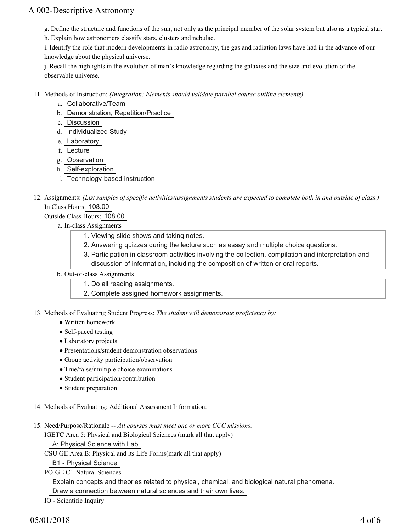- g. Define the structure and functions of the sun, not only as the principal member of the solar system but also as a typical star.
- h. Explain how astronomers classify stars, clusters and nebulae.

i. Identify the role that modern developments in radio astronomy, the gas and radiation laws have had in the advance of our knowledge about the physical universe.

j. Recall the highlights in the evolution of man's knowledge regarding the galaxies and the size and evolution of the observable universe.

- Methods of Instruction: *(Integration: Elements should validate parallel course outline elements)* 11.
	- a. Collaborative/Team
	- b. Demonstration, Repetition/Practice
	- c. Discussion
	- d. Individualized Study
	- e. Laboratory
	- f. Lecture
	- g. Observation
	- h. Self-exploration
	- i. Technology-based instruction
- 12. Assignments: (List samples of specific activities/assignments students are expected to complete both in and outside of class.) In Class Hours: 108.00

Outside Class Hours: 108.00

- a. In-class Assignments
	- 1. Viewing slide shows and taking notes.
	- 2. Answering quizzes during the lecture such as essay and multiple choice questions.
	- 3. Participation in classroom activities involving the collection, compilation and interpretation and discussion of information, including the composition of written or oral reports.
- b. Out-of-class Assignments
	- 1. Do all reading assignments.
	- 2. Complete assigned homework assignments.

13. Methods of Evaluating Student Progress: The student will demonstrate proficiency by:

- Written homework
- Self-paced testing
- Laboratory projects
- Presentations/student demonstration observations
- Group activity participation/observation
- True/false/multiple choice examinations
- Student participation/contribution
- Student preparation

14. Methods of Evaluating: Additional Assessment Information:

15. Need/Purpose/Rationale -- All courses must meet one or more CCC missions.

IGETC Area 5: Physical and Biological Sciences (mark all that apply)

A: Physical Science with Lab

CSU GE Area B: Physical and its Life Forms(mark all that apply)

B1 - Physical Science

PO-GE C1-Natural Sciences

Explain concepts and theories related to physical, chemical, and biological natural phenomena.

Draw a connection between natural sciences and their own lives.

IO - Scientific Inquiry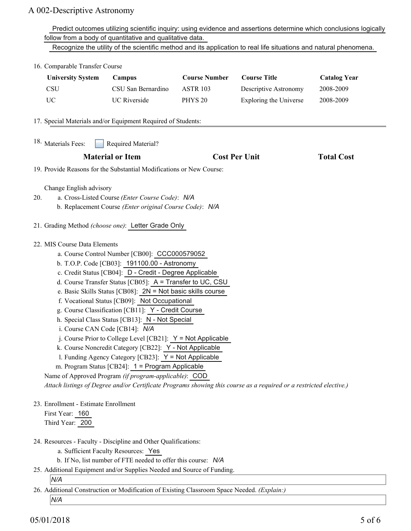|                                                                                                                                                                                                                                                                                                                                                                                                                                                                                                                                                                                                                                                                                                                                                                                                                                                                                                                                          | Predict outcomes utilizing scientific inquiry: using evidence and assertions determine which conclusions logically                                                      |                     |                      |                        |                     |  |
|------------------------------------------------------------------------------------------------------------------------------------------------------------------------------------------------------------------------------------------------------------------------------------------------------------------------------------------------------------------------------------------------------------------------------------------------------------------------------------------------------------------------------------------------------------------------------------------------------------------------------------------------------------------------------------------------------------------------------------------------------------------------------------------------------------------------------------------------------------------------------------------------------------------------------------------|-------------------------------------------------------------------------------------------------------------------------------------------------------------------------|---------------------|----------------------|------------------------|---------------------|--|
|                                                                                                                                                                                                                                                                                                                                                                                                                                                                                                                                                                                                                                                                                                                                                                                                                                                                                                                                          | follow from a body of quantitative and qualitative data.                                                                                                                |                     |                      |                        |                     |  |
|                                                                                                                                                                                                                                                                                                                                                                                                                                                                                                                                                                                                                                                                                                                                                                                                                                                                                                                                          | Recognize the utility of the scientific method and its application to real life situations and natural phenomena.                                                       |                     |                      |                        |                     |  |
|                                                                                                                                                                                                                                                                                                                                                                                                                                                                                                                                                                                                                                                                                                                                                                                                                                                                                                                                          | 16. Comparable Transfer Course                                                                                                                                          |                     |                      |                        |                     |  |
|                                                                                                                                                                                                                                                                                                                                                                                                                                                                                                                                                                                                                                                                                                                                                                                                                                                                                                                                          | <b>University System</b>                                                                                                                                                | Campus              | <b>Course Number</b> | <b>Course Title</b>    | <b>Catalog Year</b> |  |
|                                                                                                                                                                                                                                                                                                                                                                                                                                                                                                                                                                                                                                                                                                                                                                                                                                                                                                                                          | <b>CSU</b>                                                                                                                                                              | CSU San Bernardino  | <b>ASTR 103</b>      | Descriptive Astronomy  | 2008-2009           |  |
|                                                                                                                                                                                                                                                                                                                                                                                                                                                                                                                                                                                                                                                                                                                                                                                                                                                                                                                                          | <b>UC</b>                                                                                                                                                               | <b>UC</b> Riverside | PHYS <sub>20</sub>   | Exploring the Universe | 2008-2009           |  |
|                                                                                                                                                                                                                                                                                                                                                                                                                                                                                                                                                                                                                                                                                                                                                                                                                                                                                                                                          | 17. Special Materials and/or Equipment Required of Students:                                                                                                            |                     |                      |                        |                     |  |
|                                                                                                                                                                                                                                                                                                                                                                                                                                                                                                                                                                                                                                                                                                                                                                                                                                                                                                                                          | <sup>18.</sup> Materials Fees:<br>Required Material?                                                                                                                    |                     |                      |                        |                     |  |
|                                                                                                                                                                                                                                                                                                                                                                                                                                                                                                                                                                                                                                                                                                                                                                                                                                                                                                                                          | <b>Material or Item</b>                                                                                                                                                 |                     | <b>Cost Per Unit</b> |                        | <b>Total Cost</b>   |  |
|                                                                                                                                                                                                                                                                                                                                                                                                                                                                                                                                                                                                                                                                                                                                                                                                                                                                                                                                          | 19. Provide Reasons for the Substantial Modifications or New Course:                                                                                                    |                     |                      |                        |                     |  |
| 20.                                                                                                                                                                                                                                                                                                                                                                                                                                                                                                                                                                                                                                                                                                                                                                                                                                                                                                                                      | Change English advisory<br>a. Cross-Listed Course (Enter Course Code): N/A<br>b. Replacement Course (Enter original Course Code): N/A                                   |                     |                      |                        |                     |  |
|                                                                                                                                                                                                                                                                                                                                                                                                                                                                                                                                                                                                                                                                                                                                                                                                                                                                                                                                          | 21. Grading Method (choose one): Letter Grade Only                                                                                                                      |                     |                      |                        |                     |  |
| 22. MIS Course Data Elements<br>a. Course Control Number [CB00]: CCC000579052<br>b. T.O.P. Code [CB03]: 191100.00 - Astronomy<br>c. Credit Status [CB04]: D - Credit - Degree Applicable<br>d. Course Transfer Status [CB05]: A = Transfer to UC, CSU<br>e. Basic Skills Status [CB08]: 2N = Not basic skills course<br>f. Vocational Status [CB09]: Not Occupational<br>g. Course Classification [CB11]: Y - Credit Course<br>h. Special Class Status [CB13]: N - Not Special<br>i. Course CAN Code [CB14]: N/A<br>j. Course Prior to College Level [CB21]: $Y = Not$ Applicable<br>k. Course Noncredit Category [CB22]: Y - Not Applicable<br>1. Funding Agency Category [CB23]: Y = Not Applicable<br>m. Program Status [CB24]: 1 = Program Applicable<br>Name of Approved Program (if program-applicable): COD<br>Attach listings of Degree and/or Certificate Programs showing this course as a required or a restricted elective.) |                                                                                                                                                                         |                     |                      |                        |                     |  |
| 23. Enrollment - Estimate Enrollment<br>First Year: 160<br>Third Year: 200                                                                                                                                                                                                                                                                                                                                                                                                                                                                                                                                                                                                                                                                                                                                                                                                                                                               |                                                                                                                                                                         |                     |                      |                        |                     |  |
|                                                                                                                                                                                                                                                                                                                                                                                                                                                                                                                                                                                                                                                                                                                                                                                                                                                                                                                                          | 24. Resources - Faculty - Discipline and Other Qualifications:<br>a. Sufficient Faculty Resources: Yes<br>b. If No, list number of FTE needed to offer this course: N/A |                     |                      |                        |                     |  |
|                                                                                                                                                                                                                                                                                                                                                                                                                                                                                                                                                                                                                                                                                                                                                                                                                                                                                                                                          | 25. Additional Equipment and/or Supplies Needed and Source of Funding.<br>N/A                                                                                           |                     |                      |                        |                     |  |
|                                                                                                                                                                                                                                                                                                                                                                                                                                                                                                                                                                                                                                                                                                                                                                                                                                                                                                                                          | 26. Additional Construction or Modification of Existing Classroom Space Needed. (Explain:)                                                                              |                     |                      |                        |                     |  |
|                                                                                                                                                                                                                                                                                                                                                                                                                                                                                                                                                                                                                                                                                                                                                                                                                                                                                                                                          | N/A                                                                                                                                                                     |                     |                      |                        |                     |  |

05/01/2018 5 of 6